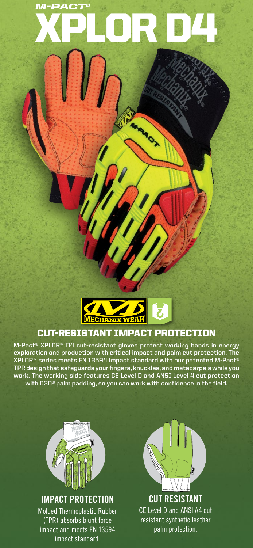# XPLOR D4 *M-PACT®*

**ARRADIX** 



## CUT-RESISTANT IMPACT PROTECTION

**M-Pact® XPLOR™ D4 cut-resistant gloves protect working hands in energy exploration and production with critical impact and palm cut protection. The XPLOR™ series meets EN 13594 impact standard with our patented M-Pact® TPR design that safeguards your fingers, knuckles, and metacarpals while you work. The working side features CE Level D and ANSI Level 4 cut protection with D3O® palm padding, so you can work with confidence in the field.**



### **IMPACT PROTECTION**

Molded Thermoplastic Rubber (TPR) absorbs blunt force impact and meets EN 13594 impact standard.



**CUT RESISTANT** CE Level D and ANSI A4 cut resistant synthetic leather palm protection.